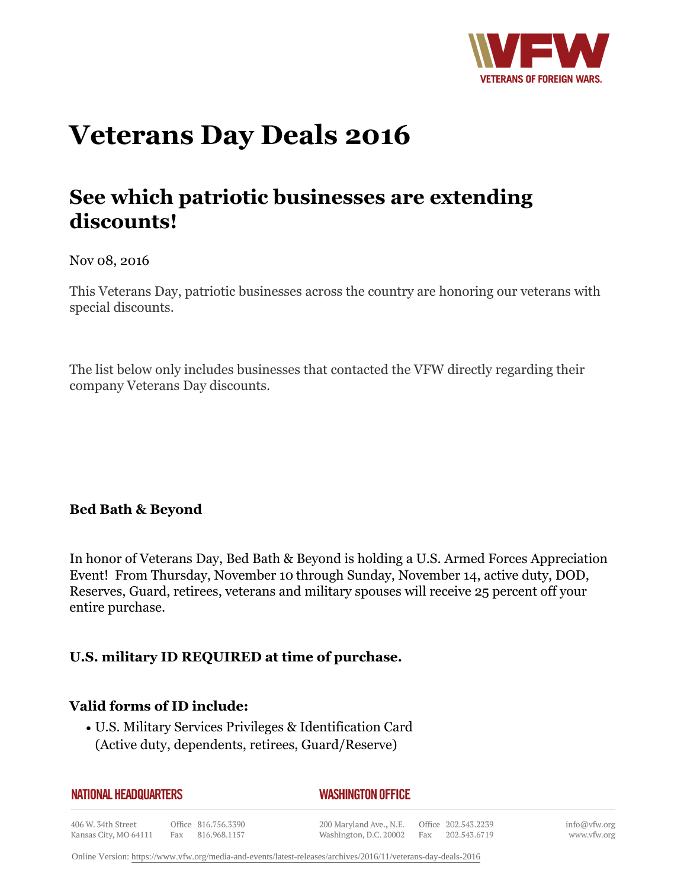

# **Veterans Day Deals 2016**

# **See which patriotic businesses are extending discounts!**

#### Nov 08, 2016

This Veterans Day, patriotic businesses across the country are honoring our veterans with special discounts.

The list below only includes businesses that contacted the VFW directly regarding their company Veterans Day discounts.

## **Bed Bath & Beyond**

In honor of Veterans Day, Bed Bath & Beyond is holding a U.S. Armed Forces Appreciation Event! From Thursday, November 10 through Sunday, November 14, active duty, DOD, Reserves, Guard, retirees, veterans and military spouses will receive 25 percent off your entire purchase.

Washington, D.C. 20002 Fax 202.543.6719

# **U.S. military ID REQUIRED at time of purchase.**

## **Valid forms of ID include:**

Kansas City, MO 64111

• U.S. Military Services Privileges & Identification Card (Active duty, dependents, retirees, Guard/Reserve)

| <b>NATIONAL HEADQUARTERS</b> |                     | <b>WASHINGTON OFFICE</b> |                     |
|------------------------------|---------------------|--------------------------|---------------------|
| 406 W. 34th Street           | Office 816.756.3390 | 200 Maryland Ave., N.E.  | Office 202.543.2239 |

Fax 816.968.1157

info@vfw.org www.vfw.org

Online Version:<https://www.vfw.org/media-and-events/latest-releases/archives/2016/11/veterans-day-deals-2016>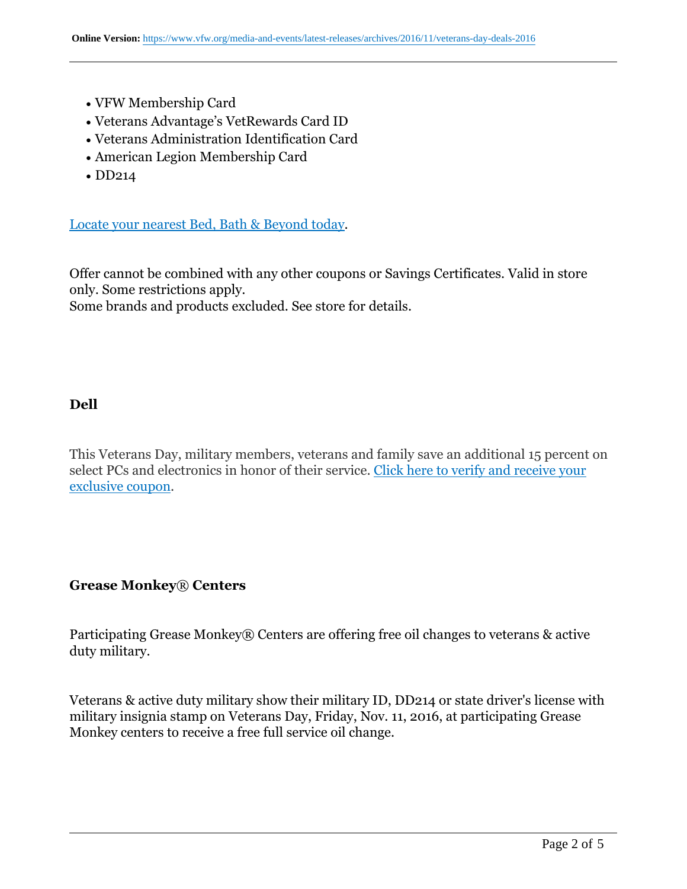- VFW Membership Card
- Veterans Advantage's VetRewards Card ID
- Veterans Administration Identification Card
- American Legion Membership Card
- DD214

Locate your nearest Bed, Bath & Beyond today.

Offer cannot be combined with any other coupons or Savings Certificates. Valid in store only. Some restrictions apply.

Some brands and products excluded. See store for details.

#### **Dell**

This Veterans Day, military members, veterans and family save an additional 15 percent on select PCs and electronics in honor of their service. Click here to verify and receive your exclusive coupon.

#### **Grease Monkey**® **Centers**

Participating Grease Monkey® Centers are offering free oil changes to veterans & active duty military.

Veterans & active duty military show their military ID, DD214 or state driver's license with military insignia stamp on Veterans Day, Friday, Nov. 11, 2016, at participating Grease Monkey centers to receive a free full service oil change.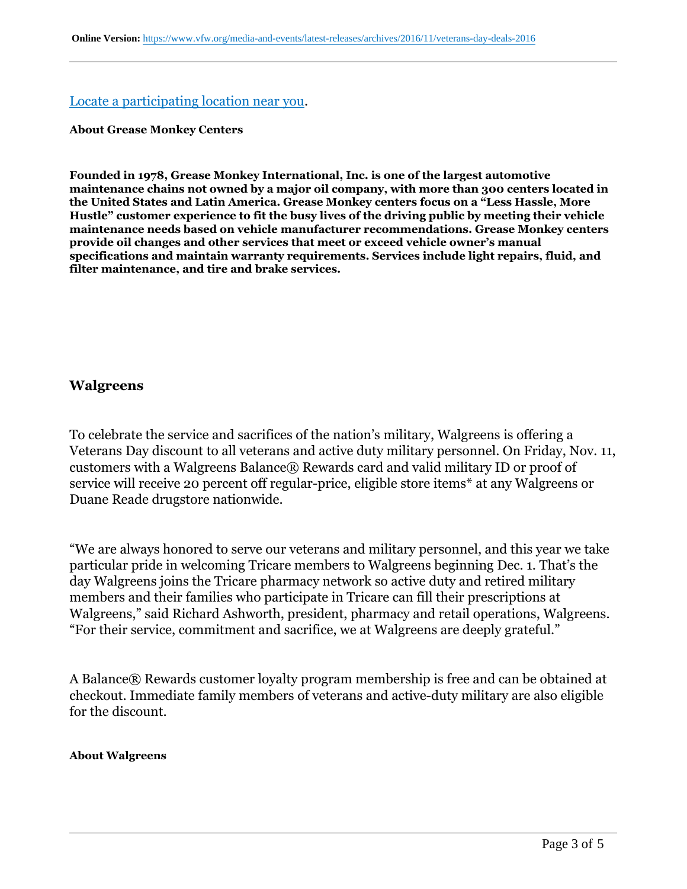#### Locate a participating location near you.

#### **About Grease Monkey Centers**

**Founded in 1978, Grease Monkey International, Inc. is one of the largest automotive maintenance chains not owned by a major oil company, with more than 300 centers located in the United States and Latin America. Grease Monkey centers focus on a "Less Hassle, More Hustle" customer experience to fit the busy lives of the driving public by meeting their vehicle maintenance needs based on vehicle manufacturer recommendations. Grease Monkey centers provide oil changes and other services that meet or exceed vehicle owner's manual specifications and maintain warranty requirements. Services include light repairs, fluid, and filter maintenance, and tire and brake services.**

#### **Walgreens**

To celebrate the service and sacrifices of the nation's military, Walgreens is offering a Veterans Day discount to all veterans and active duty military personnel. On Friday, Nov. 11, customers with a Walgreens Balance® Rewards card and valid military ID or proof of service will receive 20 percent off regular-price, eligible store items\* at any Walgreens or Duane Reade drugstore nationwide.

"We are always honored to serve our veterans and military personnel, and this year we take particular pride in welcoming Tricare members to Walgreens beginning Dec. 1. That's the day Walgreens joins the Tricare pharmacy network so active duty and retired military members and their families who participate in Tricare can fill their prescriptions at Walgreens," said Richard Ashworth, president, pharmacy and retail operations, Walgreens. "For their service, commitment and sacrifice, we at Walgreens are deeply grateful."

A Balance® Rewards customer loyalty program membership is free and can be obtained at checkout. Immediate family members of veterans and active-duty military are also eligible for the discount.

#### **About Walgreens**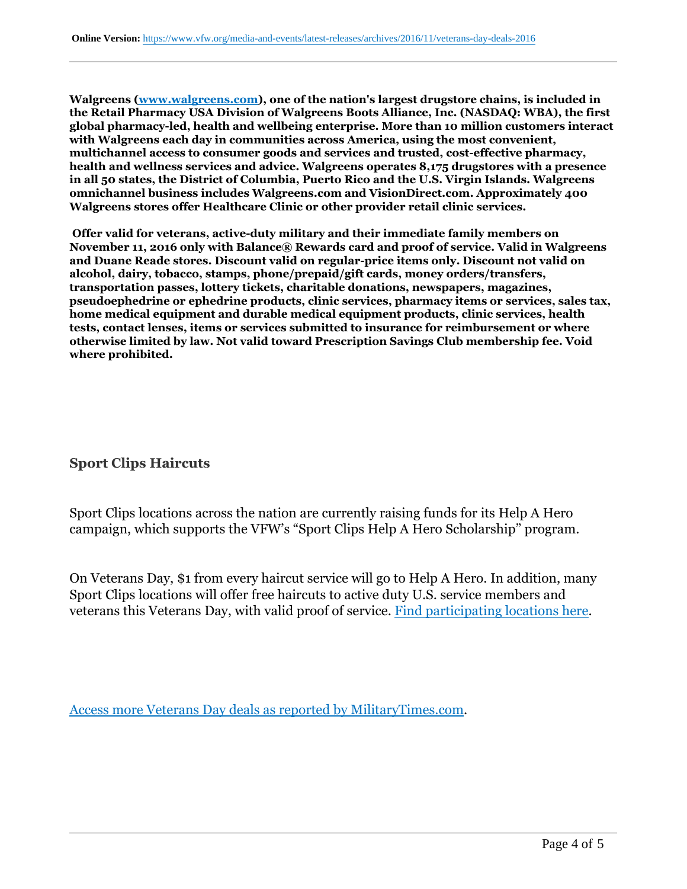**Walgreens (www.walgreens.com), one of the nation's largest drugstore chains, is included in the Retail Pharmacy USA Division of Walgreens Boots Alliance, Inc. (NASDAQ: WBA), the first global pharmacy-led, health and wellbeing enterprise. More than 10 million customers interact with Walgreens each day in communities across America, using the most convenient, multichannel access to consumer goods and services and trusted, cost-effective pharmacy, health and wellness services and advice. Walgreens operates 8,175 drugstores with a presence in all 50 states, the District of Columbia, Puerto Rico and the U.S. Virgin Islands. Walgreens omnichannel business includes Walgreens.com and VisionDirect.com. Approximately 400 Walgreens stores offer Healthcare Clinic or other provider retail clinic services.**

 **Offer valid for veterans, active-duty military and their immediate family members on November 11, 2016 only with Balance® Rewards card and proof of service. Valid in Walgreens and Duane Reade stores. Discount valid on regular-price items only. Discount not valid on alcohol, dairy, tobacco, stamps, phone/prepaid/gift cards, money orders/transfers, transportation passes, lottery tickets, charitable donations, newspapers, magazines, pseudoephedrine or ephedrine products, clinic services, pharmacy items or services, sales tax, home medical equipment and durable medical equipment products, clinic services, health tests, contact lenses, items or services submitted to insurance for reimbursement or where otherwise limited by law. Not valid toward Prescription Savings Club membership fee. Void where prohibited.**

#### **Sport Clips Haircuts**

Sport Clips locations across the nation are currently raising funds for its Help A Hero campaign, which supports the VFW's "Sport Clips Help A Hero Scholarship" program.

On Veterans Day, \$1 from every haircut service will go to Help A Hero. In addition, many Sport Clips locations will offer free haircuts to active duty U.S. service members and veterans this Veterans Day, with valid proof of service. Find participating locations here.

Access more Veterans Day deals as reported by MilitaryTimes.com.